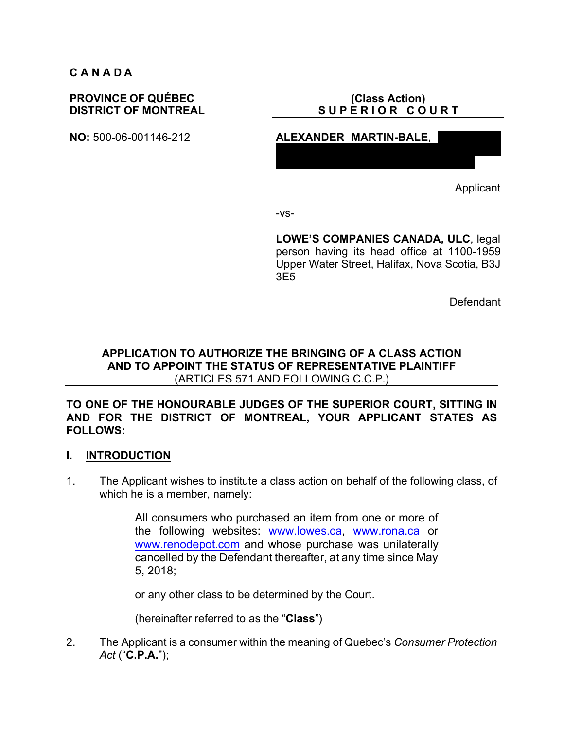#### **C A N A D A**

## **PROVINCE OF QUÉBEC DISTRICT OF MONTREAL**

## **(Class Action)** SUPERIOR COURT

87 Charnwood Road, Beaconsfield, District of

**NO:** 500-06-001146-212 **ALEXANDER MARTIN-BALE**,

Applicant

-vs-

**LOWE'S COMPANIES CANADA, ULC**, legal person having its head office at 1100-1959 Upper Water Street, Halifax, Nova Scotia, B3J 3E5

Defendant

# **APPLICATION TO AUTHORIZE THE BRINGING OF A CLASS ACTION AND TO APPOINT THE STATUS OF REPRESENTATIVE PLAINTIFF** (ARTICLES 571 AND FOLLOWING C.C.P.)

#### **TO ONE OF THE HONOURABLE JUDGES OF THE SUPERIOR COURT, SITTING IN AND FOR THE DISTRICT OF MONTREAL, YOUR APPLICANT STATES AS FOLLOWS:**

#### **I. INTRODUCTION**

1. The Applicant wishes to institute a class action on behalf of the following class, of which he is a member, namely:

> All consumers who purchased an item from one or more of the following websites: www.lowes.ca, www.rona.ca or www.renodepot.com and whose purchase was unilaterally cancelled by the Defendant thereafter, at any time since May 5, 2018;

or any other class to be determined by the Court.

(hereinafter referred to as the "**Class**")

2. The Applicant is a consumer within the meaning of Quebec's *Consumer Protection Act* ("**C.P.A.**");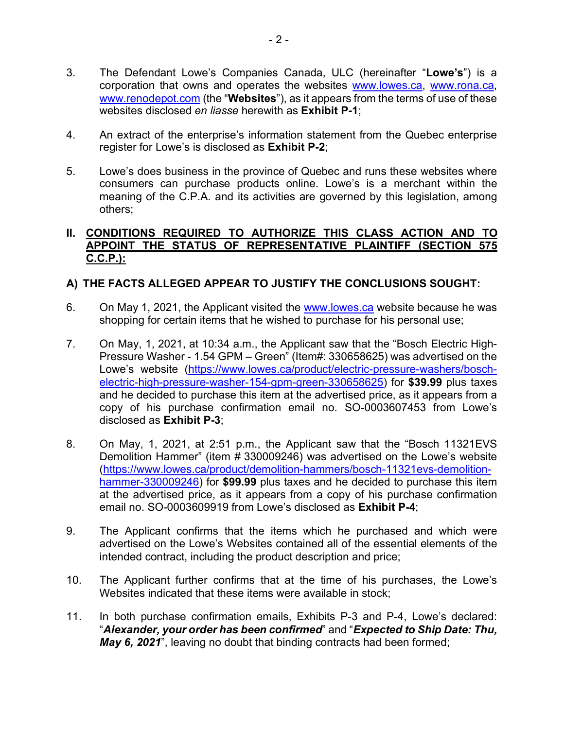- 3. The Defendant Lowe's Companies Canada, ULC (hereinafter "**Lowe's**") is a corporation that owns and operates the websites www.lowes.ca, www.rona.ca, www.renodepot.com (the "**Websites**"), as it appears from the terms of use of these websites disclosed *en liasse* herewith as **Exhibit P-1**;
- 4. An extract of the enterprise's information statement from the Quebec enterprise register for Lowe's is disclosed as **Exhibit P-2**;
- 5. Lowe's does business in the province of Quebec and runs these websites where consumers can purchase products online. Lowe's is a merchant within the meaning of the C.P.A. and its activities are governed by this legislation, among others;

## **II. CONDITIONS REQUIRED TO AUTHORIZE THIS CLASS ACTION AND TO APPOINT THE STATUS OF REPRESENTATIVE PLAINTIFF (SECTION 575 C.C.P.):**

# **A) THE FACTS ALLEGED APPEAR TO JUSTIFY THE CONCLUSIONS SOUGHT:**

- 6. On May 1, 2021, the Applicant visited the www.lowes.ca website because he was shopping for certain items that he wished to purchase for his personal use;
- 7. On May, 1, 2021, at 10:34 a.m., the Applicant saw that the "Bosch Electric High-Pressure Washer - 1.54 GPM – Green" (Item#: 330658625) was advertised on the Lowe's website (https://www.lowes.ca/product/electric-pressure-washers/boschelectric-high-pressure-washer-154-gpm-green-330658625) for **\$39.99** plus taxes and he decided to purchase this item at the advertised price, as it appears from a copy of his purchase confirmation email no. SO-0003607453 from Lowe's disclosed as **Exhibit P-3**;
- 8. On May, 1, 2021, at 2:51 p.m., the Applicant saw that the "Bosch 11321EVS Demolition Hammer" (item # 330009246) was advertised on the Lowe's website (https://www.lowes.ca/product/demolition-hammers/bosch-11321evs-demolitionhammer-330009246) for **\$99.99** plus taxes and he decided to purchase this item at the advertised price, as it appears from a copy of his purchase confirmation email no. SO-0003609919 from Lowe's disclosed as **Exhibit P-4**;
- 9. The Applicant confirms that the items which he purchased and which were advertised on the Lowe's Websites contained all of the essential elements of the intended contract, including the product description and price;
- 10. The Applicant further confirms that at the time of his purchases, the Lowe's Websites indicated that these items were available in stock;
- 11. In both purchase confirmation emails, Exhibits P-3 and P-4, Lowe's declared: "*Alexander, your order has been confirmed*" and "*Expected to Ship Date: Thu, May 6, 2021*", leaving no doubt that binding contracts had been formed;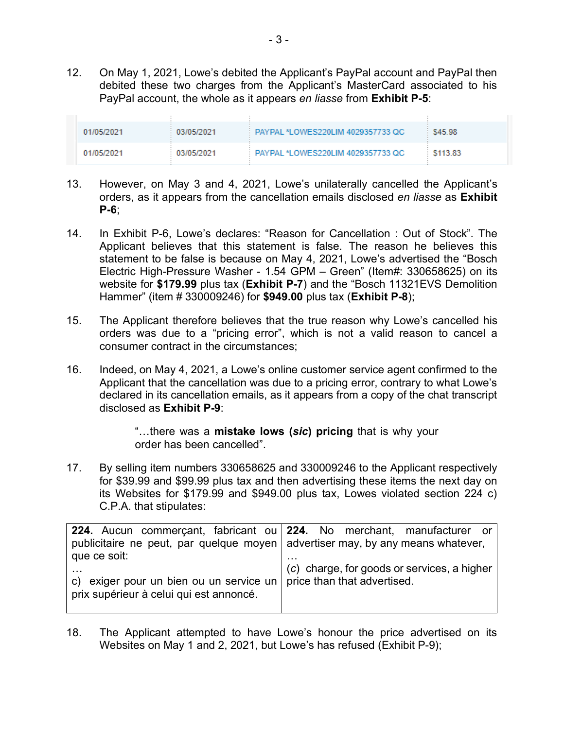12. On May 1, 2021, Lowe's debited the Applicant's PayPal account and PayPal then debited these two charges from the Applicant's MasterCard associated to his PayPal account, the whole as it appears *en liasse* from **Exhibit P-5**:

| 01/05/2021 | 03/05/2021 | PAYPAL *LOWES220LIM 4029357733 QC   | S45.98   |
|------------|------------|-------------------------------------|----------|
| 01/05/2021 | 03/05/2021 | : PAYPAL *LOWES220LIM 4029357733 OC | \$113.83 |

- 13. However, on May 3 and 4, 2021, Lowe's unilaterally cancelled the Applicant's orders, as it appears from the cancellation emails disclosed *en liasse* as **Exhibit P-6**;
- 14. In Exhibit P-6, Lowe's declares: "Reason for Cancellation : Out of Stock". The Applicant believes that this statement is false. The reason he believes this statement to be false is because on May 4, 2021, Lowe's advertised the "Bosch Electric High-Pressure Washer - 1.54 GPM – Green" (Item#: 330658625) on its website for **\$179.99** plus tax (**Exhibit P-7**) and the "Bosch 11321EVS Demolition Hammer" (item # 330009246) for **\$949.00** plus tax (**Exhibit P-8**);
- 15. The Applicant therefore believes that the true reason why Lowe's cancelled his orders was due to a "pricing error", which is not a valid reason to cancel a consumer contract in the circumstances;
- 16. Indeed, on May 4, 2021, a Lowe's online customer service agent confirmed to the Applicant that the cancellation was due to a pricing error, contrary to what Lowe's declared in its cancellation emails, as it appears from a copy of the chat transcript disclosed as **Exhibit P-9**:

"…there was a **mistake lows (***sic***) pricing** that is why your order has been cancelled".

17. By selling item numbers 330658625 and 330009246 to the Applicant respectively for \$39.99 and \$99.99 plus tax and then advertising these items the next day on its Websites for \$179.99 and \$949.00 plus tax, Lowes violated section 224 c) C.P.A. that stipulates:

| 224. Aucun commerçant, fabricant ou 224. No merchant, manufacturer or                                              |                                             |  |  |
|--------------------------------------------------------------------------------------------------------------------|---------------------------------------------|--|--|
| publicitaire ne peut, par quelque moyen advertiser may, by any means whatever,                                     |                                             |  |  |
| que ce soit:                                                                                                       |                                             |  |  |
| c) exiger pour un bien ou un service un $ $ price than that advertised.<br>prix supérieur à celui qui est annoncé. | (c) charge, for goods or services, a higher |  |  |

18. The Applicant attempted to have Lowe's honour the price advertised on its Websites on May 1 and 2, 2021, but Lowe's has refused (Exhibit P-9);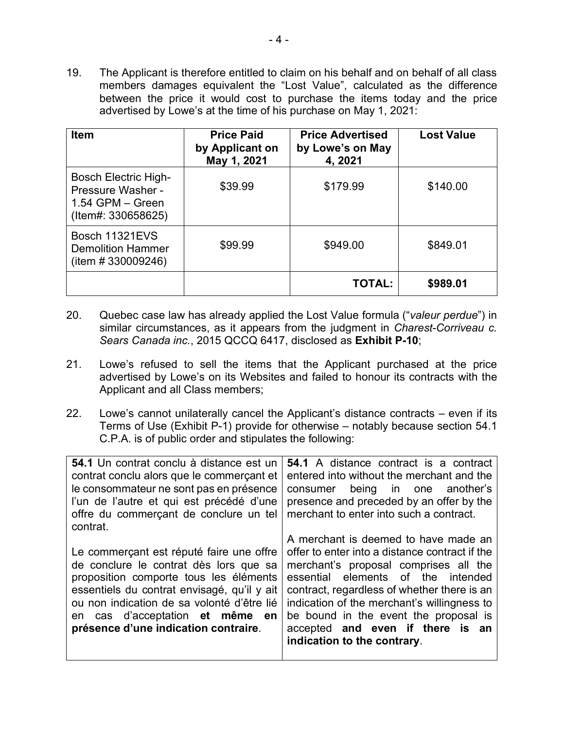19. The Applicant is therefore entitled to claim on his behalf and on behalf of all class members damages equivalent the "Lost Value", calculated as the difference between the price it would cost to purchase the items today and the price advertised by Lowe's at the time of his purchase on May 1, 2021:

| <b>Item</b>                                                                                    | <b>Price Paid</b><br>by Applicant on<br>May 1, 2021 | <b>Price Advertised</b><br>by Lowe's on May<br>4, 2021 | <b>Lost Value</b> |
|------------------------------------------------------------------------------------------------|-----------------------------------------------------|--------------------------------------------------------|-------------------|
| <b>Bosch Electric High-</b><br>Pressure Washer -<br>$1.54$ GPM $-$ Green<br>(Item#: 330658625) | \$39.99                                             | \$179.99                                               | \$140.00          |
| Bosch 11321EVS<br><b>Demolition Hammer</b><br>(item # 330009246)                               | \$99.99                                             | \$949.00                                               | \$849.01          |
|                                                                                                |                                                     | <b>TOTAL:</b>                                          | \$989.01          |

- 20. Quebec case law has already applied the Lost Value formula ("*valeur perdue*") in similar circumstances, as it appears from the judgment in *Charest-Corriveau c. Sears Canada inc.*, 2015 QCCQ 6417, disclosed as **Exhibit P-10**;
- 21. Lowe's refused to sell the items that the Applicant purchased at the price advertised by Lowe's on its Websites and failed to honour its contracts with the Applicant and all Class members;
- 22. Lowe's cannot unilaterally cancel the Applicant's distance contracts even if its Terms of Use (Exhibit P-1) provide for otherwise – notably because section 54.1 C.P.A. is of public order and stipulates the following:

| 54.1 Un contrat conclu à distance est un<br>contrat conclu alors que le commerçant et<br>le consommateur ne sont pas en présence<br>l'un de l'autre et qui est précédé d'une<br>offre du commerçant de conclure un tel<br>contrat.                                                                   | <b>54.1</b> A distance contract is a contract<br>entered into without the merchant and the<br>consumer being in one another's<br>presence and preceded by an offer by the<br>merchant to enter into such a contract.                                                                                                                                                            |
|------------------------------------------------------------------------------------------------------------------------------------------------------------------------------------------------------------------------------------------------------------------------------------------------------|---------------------------------------------------------------------------------------------------------------------------------------------------------------------------------------------------------------------------------------------------------------------------------------------------------------------------------------------------------------------------------|
| Le commerçant est réputé faire une offre<br>de conclure le contrat dès lors que sa<br>proposition comporte tous les éléments<br>essentiels du contrat envisagé, qu'il y ait<br>ou non indication de sa volonté d'être lié<br>en cas d'acceptation et même en<br>présence d'une indication contraire. | A merchant is deemed to have made an<br>offer to enter into a distance contract if the<br>merchant's proposal comprises all the<br>essential elements of the intended<br>contract, regardless of whether there is an<br>indication of the merchant's willingness to<br>be bound in the event the proposal is<br>accepted and even if there is an<br>indication to the contrary. |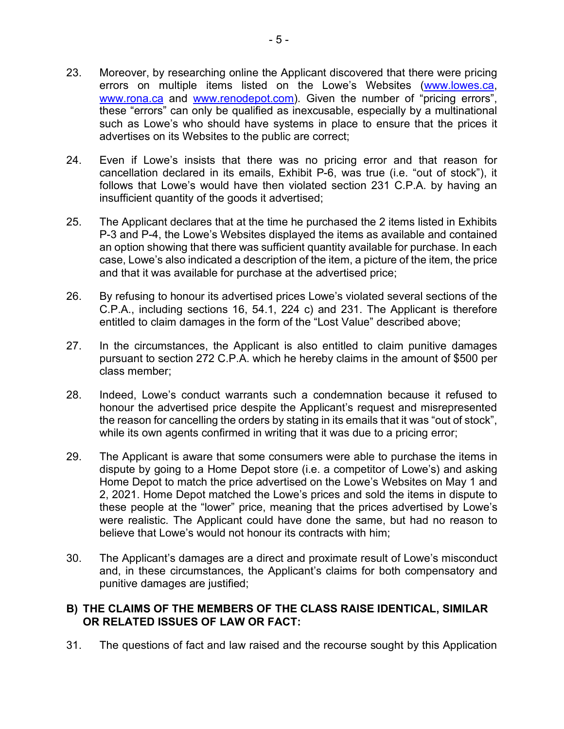- 23. Moreover, by researching online the Applicant discovered that there were pricing errors on multiple items listed on the Lowe's Websites (www.lowes.ca, www.rona.ca and www.renodepot.com). Given the number of "pricing errors", these "errors" can only be qualified as inexcusable, especially by a multinational such as Lowe's who should have systems in place to ensure that the prices it advertises on its Websites to the public are correct;
- 24. Even if Lowe's insists that there was no pricing error and that reason for cancellation declared in its emails, Exhibit P-6, was true (i.e. "out of stock"), it follows that Lowe's would have then violated section 231 C.P.A. by having an insufficient quantity of the goods it advertised;
- 25. The Applicant declares that at the time he purchased the 2 items listed in Exhibits P-3 and P-4, the Lowe's Websites displayed the items as available and contained an option showing that there was sufficient quantity available for purchase. In each case, Lowe's also indicated a description of the item, a picture of the item, the price and that it was available for purchase at the advertised price;
- 26. By refusing to honour its advertised prices Lowe's violated several sections of the C.P.A., including sections 16, 54.1, 224 c) and 231. The Applicant is therefore entitled to claim damages in the form of the "Lost Value" described above;
- 27. In the circumstances, the Applicant is also entitled to claim punitive damages pursuant to section 272 C.P.A. which he hereby claims in the amount of \$500 per class member;
- 28. Indeed, Lowe's conduct warrants such a condemnation because it refused to honour the advertised price despite the Applicant's request and misrepresented the reason for cancelling the orders by stating in its emails that it was "out of stock", while its own agents confirmed in writing that it was due to a pricing error;
- 29. The Applicant is aware that some consumers were able to purchase the items in dispute by going to a Home Depot store (i.e. a competitor of Lowe's) and asking Home Depot to match the price advertised on the Lowe's Websites on May 1 and 2, 2021. Home Depot matched the Lowe's prices and sold the items in dispute to these people at the "lower" price, meaning that the prices advertised by Lowe's were realistic. The Applicant could have done the same, but had no reason to believe that Lowe's would not honour its contracts with him;
- 30. The Applicant's damages are a direct and proximate result of Lowe's misconduct and, in these circumstances, the Applicant's claims for both compensatory and punitive damages are justified;

## **B) THE CLAIMS OF THE MEMBERS OF THE CLASS RAISE IDENTICAL, SIMILAR OR RELATED ISSUES OF LAW OR FACT:**

31. The questions of fact and law raised and the recourse sought by this Application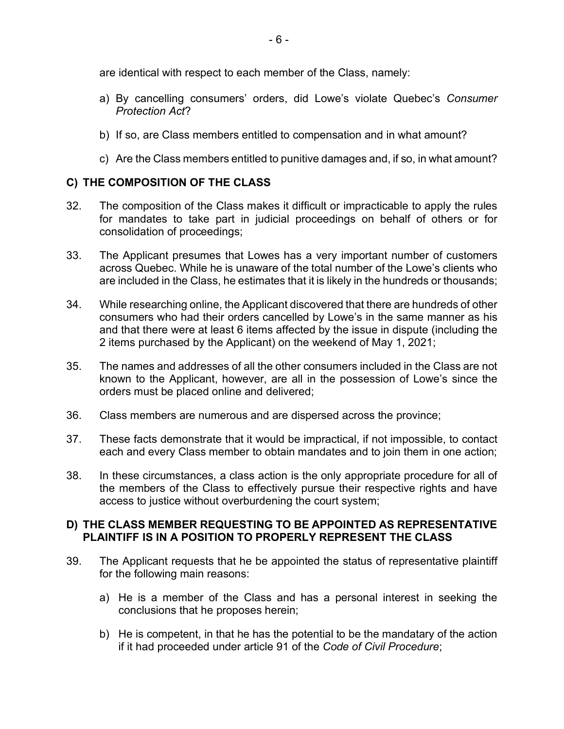are identical with respect to each member of the Class, namely:

- a) By cancelling consumers' orders, did Lowe's violate Quebec's *Consumer Protection Act*?
- b) If so, are Class members entitled to compensation and in what amount?
- c) Are the Class members entitled to punitive damages and, if so, in what amount?

# **C) THE COMPOSITION OF THE CLASS**

- 32. The composition of the Class makes it difficult or impracticable to apply the rules for mandates to take part in judicial proceedings on behalf of others or for consolidation of proceedings;
- 33. The Applicant presumes that Lowes has a very important number of customers across Quebec. While he is unaware of the total number of the Lowe's clients who are included in the Class, he estimates that it is likely in the hundreds or thousands;
- 34. While researching online, the Applicant discovered that there are hundreds of other consumers who had their orders cancelled by Lowe's in the same manner as his and that there were at least 6 items affected by the issue in dispute (including the 2 items purchased by the Applicant) on the weekend of May 1, 2021;
- 35. The names and addresses of all the other consumers included in the Class are not known to the Applicant, however, are all in the possession of Lowe's since the orders must be placed online and delivered;
- 36. Class members are numerous and are dispersed across the province;
- 37. These facts demonstrate that it would be impractical, if not impossible, to contact each and every Class member to obtain mandates and to join them in one action;
- 38. In these circumstances, a class action is the only appropriate procedure for all of the members of the Class to effectively pursue their respective rights and have access to justice without overburdening the court system;

## **D) THE CLASS MEMBER REQUESTING TO BE APPOINTED AS REPRESENTATIVE PLAINTIFF IS IN A POSITION TO PROPERLY REPRESENT THE CLASS**

- 39. The Applicant requests that he be appointed the status of representative plaintiff for the following main reasons:
	- a) He is a member of the Class and has a personal interest in seeking the conclusions that he proposes herein;
	- b) He is competent, in that he has the potential to be the mandatary of the action if it had proceeded under article 91 of the *Code of Civil Procedure*;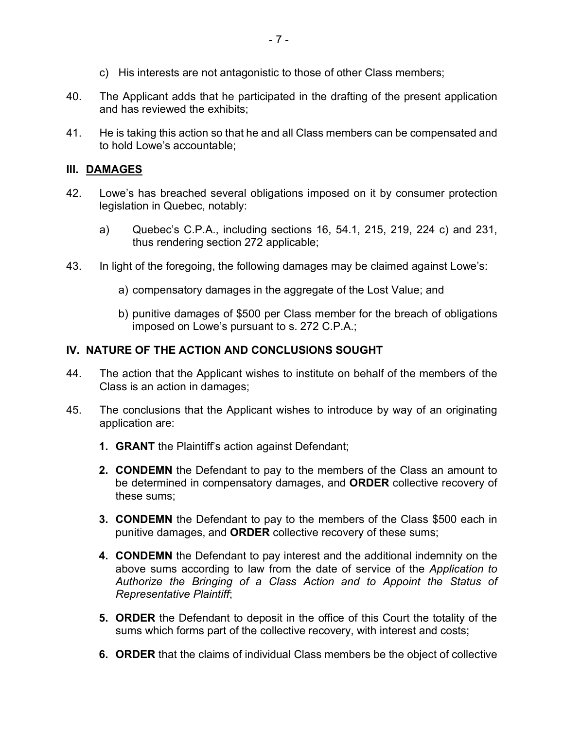- c) His interests are not antagonistic to those of other Class members;
- 40. The Applicant adds that he participated in the drafting of the present application and has reviewed the exhibits;
- 41. He is taking this action so that he and all Class members can be compensated and to hold Lowe's accountable;

## **III. DAMAGES**

- 42. Lowe's has breached several obligations imposed on it by consumer protection legislation in Quebec, notably:
	- a) Quebec's C.P.A., including sections 16, 54.1, 215, 219, 224 c) and 231, thus rendering section 272 applicable;
- 43. In light of the foregoing, the following damages may be claimed against Lowe's:
	- a) compensatory damages in the aggregate of the Lost Value; and
	- b) punitive damages of \$500 per Class member for the breach of obligations imposed on Lowe's pursuant to s. 272 C.P.A.;

## **IV. NATURE OF THE ACTION AND CONCLUSIONS SOUGHT**

- 44. The action that the Applicant wishes to institute on behalf of the members of the Class is an action in damages;
- 45. The conclusions that the Applicant wishes to introduce by way of an originating application are:
	- **1. GRANT** the Plaintiff's action against Defendant;
	- **2. CONDEMN** the Defendant to pay to the members of the Class an amount to be determined in compensatory damages, and **ORDER** collective recovery of these sums;
	- **3. CONDEMN** the Defendant to pay to the members of the Class \$500 each in punitive damages, and **ORDER** collective recovery of these sums;
	- **4. CONDEMN** the Defendant to pay interest and the additional indemnity on the above sums according to law from the date of service of the *Application to Authorize the Bringing of a Class Action and to Appoint the Status of Representative Plaintiff*;
	- **5. ORDER** the Defendant to deposit in the office of this Court the totality of the sums which forms part of the collective recovery, with interest and costs;
	- **6. ORDER** that the claims of individual Class members be the object of collective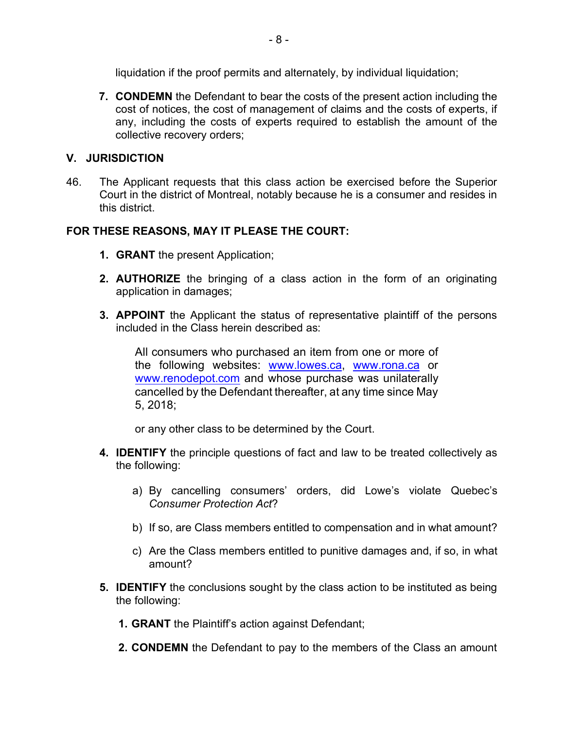liquidation if the proof permits and alternately, by individual liquidation;

**7. CONDEMN** the Defendant to bear the costs of the present action including the cost of notices, the cost of management of claims and the costs of experts, if any, including the costs of experts required to establish the amount of the collective recovery orders;

# **V. JURISDICTION**

46. The Applicant requests that this class action be exercised before the Superior Court in the district of Montreal, notably because he is a consumer and resides in this district.

# **FOR THESE REASONS, MAY IT PLEASE THE COURT:**

- **1. GRANT** the present Application;
- **2. AUTHORIZE** the bringing of a class action in the form of an originating application in damages;
- **3. APPOINT** the Applicant the status of representative plaintiff of the persons included in the Class herein described as:

All consumers who purchased an item from one or more of the following websites: www.lowes.ca, www.rona.ca or www.renodepot.com and whose purchase was unilaterally cancelled by the Defendant thereafter, at any time since May 5, 2018;

or any other class to be determined by the Court.

- **4. IDENTIFY** the principle questions of fact and law to be treated collectively as the following:
	- a) By cancelling consumers' orders, did Lowe's violate Quebec's *Consumer Protection Act*?
	- b) If so, are Class members entitled to compensation and in what amount?
	- c) Are the Class members entitled to punitive damages and, if so, in what amount?
- **5. IDENTIFY** the conclusions sought by the class action to be instituted as being the following:
	- **1. GRANT** the Plaintiff's action against Defendant;
	- **2. CONDEMN** the Defendant to pay to the members of the Class an amount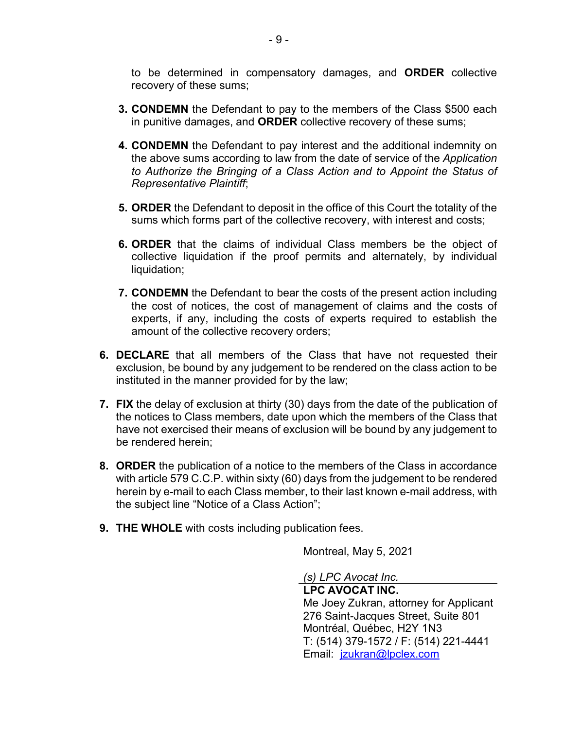to be determined in compensatory damages, and **ORDER** collective recovery of these sums;

- **3. CONDEMN** the Defendant to pay to the members of the Class \$500 each in punitive damages, and **ORDER** collective recovery of these sums;
- **4. CONDEMN** the Defendant to pay interest and the additional indemnity on the above sums according to law from the date of service of the *Application to Authorize the Bringing of a Class Action and to Appoint the Status of Representative Plaintiff*;
- **5. ORDER** the Defendant to deposit in the office of this Court the totality of the sums which forms part of the collective recovery, with interest and costs;
- **6. ORDER** that the claims of individual Class members be the object of collective liquidation if the proof permits and alternately, by individual liquidation:
- **7. CONDEMN** the Defendant to bear the costs of the present action including the cost of notices, the cost of management of claims and the costs of experts, if any, including the costs of experts required to establish the amount of the collective recovery orders;
- **6. DECLARE** that all members of the Class that have not requested their exclusion, be bound by any judgement to be rendered on the class action to be instituted in the manner provided for by the law;
- **7. FIX** the delay of exclusion at thirty (30) days from the date of the publication of the notices to Class members, date upon which the members of the Class that have not exercised their means of exclusion will be bound by any judgement to be rendered herein;
- **8. ORDER** the publication of a notice to the members of the Class in accordance with article 579 C.C.P. within sixty (60) days from the judgement to be rendered herein by e-mail to each Class member, to their last known e-mail address, with the subject line "Notice of a Class Action";
- **9. THE WHOLE** with costs including publication fees.

Montreal, May 5, 2021

*(s) LPC Avocat Inc.*

**LPC AVOCAT INC.** Me Joey Zukran, attorney for Applicant 276 Saint-Jacques Street, Suite 801 Montréal, Québec, H2Y 1N3 T: (514) 379-1572 / F: (514) 221-4441 Email: jzukran@lpclex.com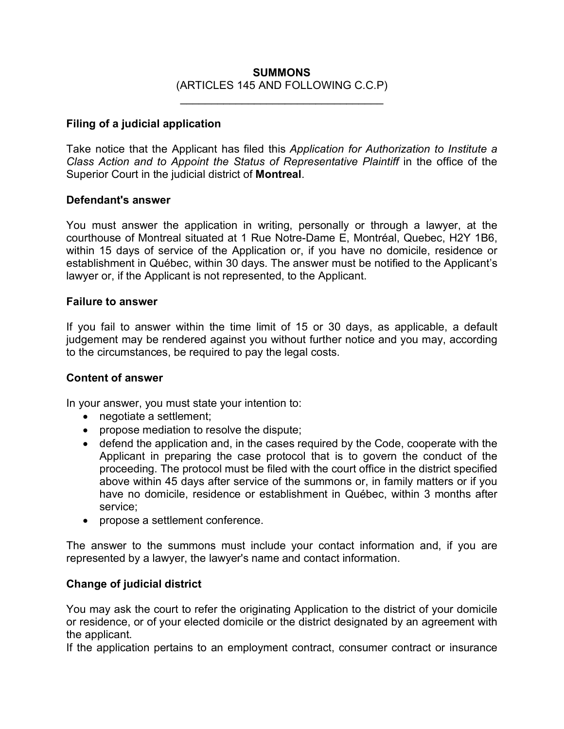## **SUMMONS** (ARTICLES 145 AND FOLLOWING C.C.P)

 $\mathcal{L}_\text{max}$  , and the set of the set of the set of the set of the set of the set of the set of the set of the set of the set of the set of the set of the set of the set of the set of the set of the set of the set of the

#### **Filing of a judicial application**

Take notice that the Applicant has filed this *Application for Authorization to Institute a Class Action and to Appoint the Status of Representative Plaintiff* in the office of the Superior Court in the judicial district of **Montreal**.

#### **Defendant's answer**

You must answer the application in writing, personally or through a lawyer, at the courthouse of Montreal situated at 1 Rue Notre-Dame E, Montréal, Quebec, H2Y 1B6, within 15 days of service of the Application or, if you have no domicile, residence or establishment in Québec, within 30 days. The answer must be notified to the Applicant's lawyer or, if the Applicant is not represented, to the Applicant.

#### **Failure to answer**

If you fail to answer within the time limit of 15 or 30 days, as applicable, a default judgement may be rendered against you without further notice and you may, according to the circumstances, be required to pay the legal costs.

#### **Content of answer**

In your answer, you must state your intention to:

- negotiate a settlement;
- propose mediation to resolve the dispute;
- defend the application and, in the cases required by the Code, cooperate with the Applicant in preparing the case protocol that is to govern the conduct of the proceeding. The protocol must be filed with the court office in the district specified above within 45 days after service of the summons or, in family matters or if you have no domicile, residence or establishment in Québec, within 3 months after service;
- propose a settlement conference.

The answer to the summons must include your contact information and, if you are represented by a lawyer, the lawyer's name and contact information.

## **Change of judicial district**

You may ask the court to refer the originating Application to the district of your domicile or residence, or of your elected domicile or the district designated by an agreement with the applicant.

If the application pertains to an employment contract, consumer contract or insurance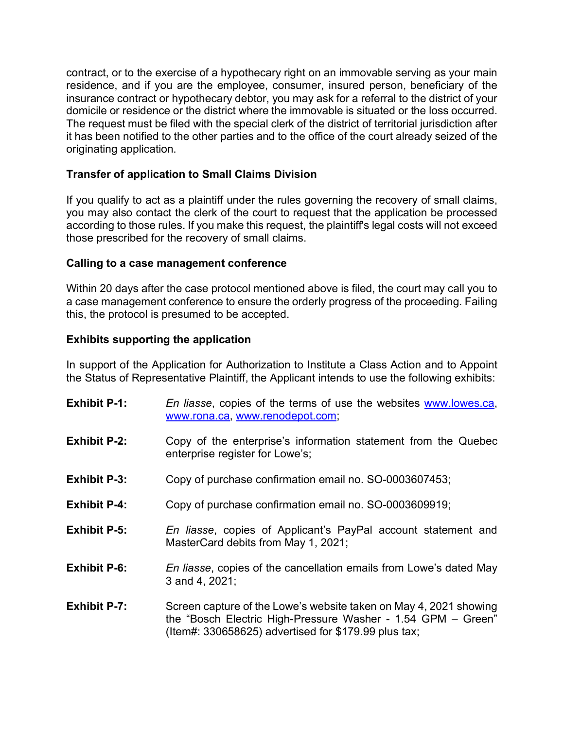contract, or to the exercise of a hypothecary right on an immovable serving as your main residence, and if you are the employee, consumer, insured person, beneficiary of the insurance contract or hypothecary debtor, you may ask for a referral to the district of your domicile or residence or the district where the immovable is situated or the loss occurred. The request must be filed with the special clerk of the district of territorial jurisdiction after it has been notified to the other parties and to the office of the court already seized of the originating application.

# **Transfer of application to Small Claims Division**

If you qualify to act as a plaintiff under the rules governing the recovery of small claims, you may also contact the clerk of the court to request that the application be processed according to those rules. If you make this request, the plaintiff's legal costs will not exceed those prescribed for the recovery of small claims.

## **Calling to a case management conference**

Within 20 days after the case protocol mentioned above is filed, the court may call you to a case management conference to ensure the orderly progress of the proceeding. Failing this, the protocol is presumed to be accepted.

# **Exhibits supporting the application**

In support of the Application for Authorization to Institute a Class Action and to Appoint the Status of Representative Plaintiff, the Applicant intends to use the following exhibits:

| <b>Exhibit P-1:</b> | En liasse, copies of the terms of use the websites www.lowes.ca,<br>www.rona.ca, www.renodepot.com;                                                                                       |
|---------------------|-------------------------------------------------------------------------------------------------------------------------------------------------------------------------------------------|
| <b>Exhibit P-2:</b> | Copy of the enterprise's information statement from the Quebec<br>enterprise register for Lowe's;                                                                                         |
| <b>Exhibit P-3:</b> | Copy of purchase confirmation email no. SO-0003607453;                                                                                                                                    |
| <b>Exhibit P-4:</b> | Copy of purchase confirmation email no. SO-0003609919;                                                                                                                                    |
| <b>Exhibit P-5:</b> | En liasse, copies of Applicant's PayPal account statement and<br>MasterCard debits from May 1, 2021;                                                                                      |
| <b>Exhibit P-6:</b> | En liasse, copies of the cancellation emails from Lowe's dated May<br>3 and 4, 2021;                                                                                                      |
| <b>Exhibit P-7:</b> | Screen capture of the Lowe's website taken on May 4, 2021 showing<br>the "Bosch Electric High-Pressure Washer - 1.54 GPM - Green"<br>(Item#: 330658625) advertised for \$179.99 plus tax; |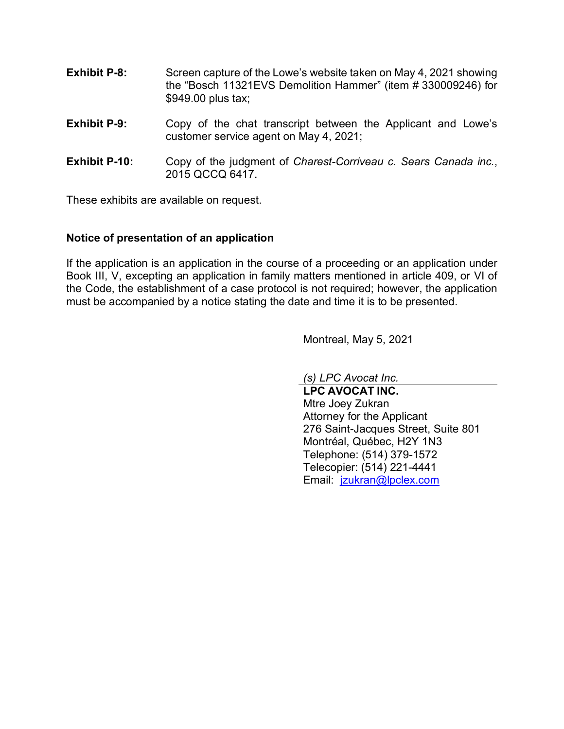- **Exhibit P-8:** Screen capture of the Lowe's website taken on May 4, 2021 showing the "Bosch 11321EVS Demolition Hammer" (item # 330009246) for \$949.00 plus tax;
- **Exhibit P-9:** Copy of the chat transcript between the Applicant and Lowe's customer service agent on May 4, 2021;
- **Exhibit P-10:** Copy of the judgment of *Charest-Corriveau c. Sears Canada inc.*, 2015 QCCQ 6417.

These exhibits are available on request.

#### **Notice of presentation of an application**

If the application is an application in the course of a proceeding or an application under Book III, V, excepting an application in family matters mentioned in article 409, or VI of the Code, the establishment of a case protocol is not required; however, the application must be accompanied by a notice stating the date and time it is to be presented.

Montreal, May 5, 2021

*(s) LPC Avocat Inc.*

**LPC AVOCAT INC.** Mtre Joey Zukran Attorney for the Applicant 276 Saint-Jacques Street, Suite 801 Montréal, Québec, H2Y 1N3 Telephone: (514) 379-1572 Telecopier: (514) 221-4441 Email: jzukran@lpclex.com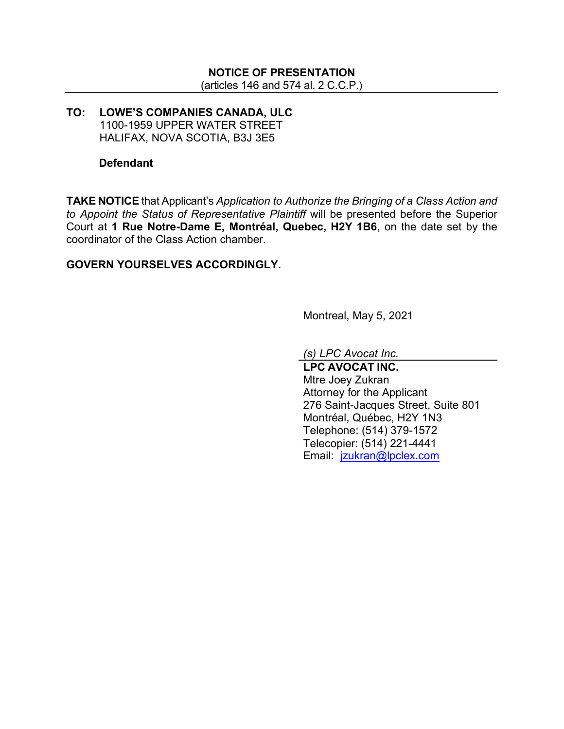# **NOTICE OF PRESENTATION**

(articles 146 and 574 al. 2 C.C.P.)

## **TO: LOWE'S COMPANIES CANADA, ULC** 1100-1959 UPPER WATER STREET HALIFAX, NOVA SCOTIA, B3J 3E5

#### **Defendant**

**TAKE NOTICE** that Applicant's *Application to Authorize the Bringing of a Class Action and to Appoint the Status of Representative Plaintiff* will be presented before the Superior Court at **1 Rue Notre-Dame E, Montréal, Quebec, H2Y 1B6**, on the date set by the coordinator of the Class Action chamber.

## **GOVERN YOURSELVES ACCORDINGLY.**

Montreal, May 5, 2021

*(s) LPC Avocat Inc.*

**LPC AVOCAT INC.** Mtre Joey Zukran Attorney for the Applicant 276 Saint-Jacques Street, Suite 801 Montréal, Québec, H2Y 1N3 Telephone: (514) 379-1572 Telecopier: (514) 221-4441 Email: jzukran@lpclex.com